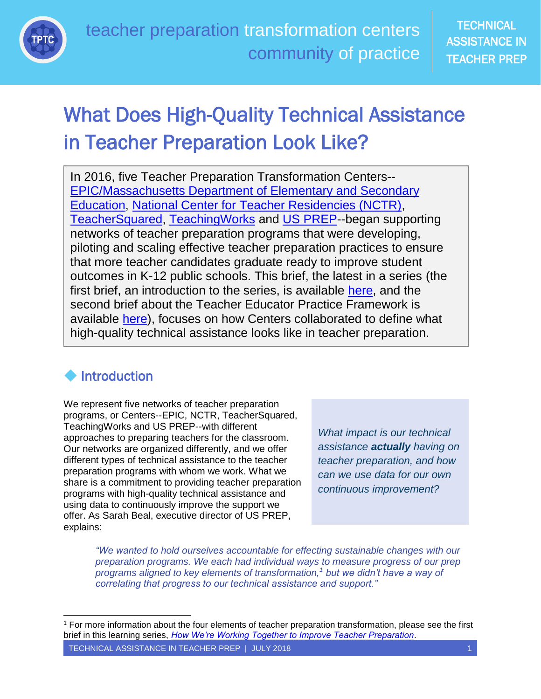

**TECHNICAL** ASSISTANCE IN TEACHER PREP

# What Does High-Quality Technical Assistance in Teacher Preparation Look Like?

In 2016, five Teacher Preparation Transformation Centers-- [EPIC/Massachusetts Department of Elementary and Secondary](http://www.doe.mass.edu/edprep/EPIC/)  [Education,](http://www.doe.mass.edu/edprep/EPIC/) [National Center for Teacher Residencies \(NCTR\),](https://nctresidencies.org/) [TeacherSquared,](https://www.teachersquared.org/) [TeachingWorks](http://www.teachingworks.org/) and [US PREP-](http://www.usprepnationalcenter.com/)-began supporting networks of teacher preparation programs that were developing, piloting and scaling effective teacher preparation practices to ensure that more teacher candidates graduate ready to improve student outcomes in K-12 public schools. This brief, the latest in a series (the first brief, an introduction to the series, is available [here,](https://education-first.com/library/publication/teacher-preparation-transformation-centers-learning-series-introduction/) and the second brief about the Teacher Educator Practice Framework is available [here\)](https://education-first.com/library/publication/teacher-preparation-transformation-centers-learning-series-teacher-educators/), focuses on how Centers collaborated to define what high-quality technical assistance looks like in teacher preparation.

## **Introduction**

 $\overline{a}$ 

We represent five networks of teacher preparation programs, or Centers--EPIC, NCTR, TeacherSquared, TeachingWorks and US PREP--with different approaches to preparing teachers for the classroom. Our networks are organized differently, and we offer different types of technical assistance to the teacher preparation programs with whom we work. What we share is a commitment to providing teacher preparation programs with high-quality technical assistance and using data to continuously improve the support we offer. As Sarah Beal, executive director of US PREP, explains:

*What impact is our technical assistance actually having on teacher preparation, and how can we use data for our own continuous improvement?*

*"We wanted to hold ourselves accountable for effecting sustainable changes with our preparation programs. We each had individual ways to measure progress of our prep programs aligned to key elements of transformation,<sup>1</sup> but we didn't have a way of correlating that progress to our technical assistance and support."*

TECHNICAL ASSISTANCE IN TEACHER PREP | JULY 2018 1

<sup>1</sup> For more information about the four elements of teacher preparation transformation, please see the first brief in this learning series, *[How We're Working Together to Improve Teacher Preparation](https://education-first.com/wp-content/uploads/2017/07/Education-First_Teacher-Preparation-Transformation-Centers-Learning-Series_Introduction_July-2017.pdf)*.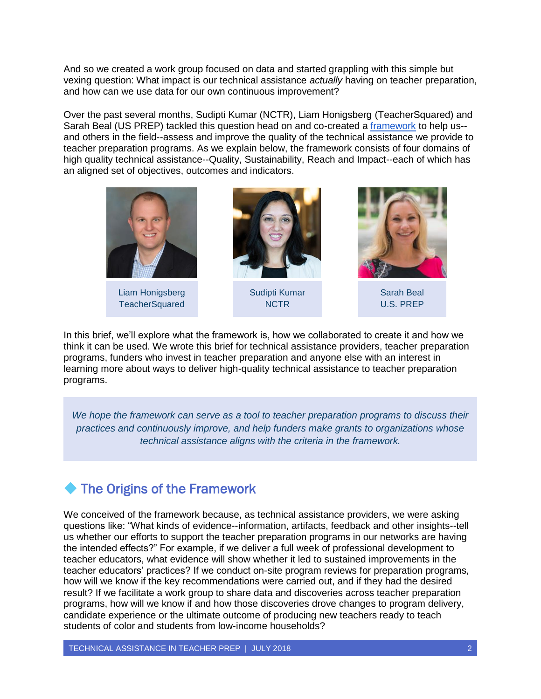And so we created a work group focused on data and started grappling with this simple but vexing question: What impact is our technical assistance *actually* having on teacher preparation, and how can we use data for our own continuous improvement?

Over the past several months, Sudipti Kumar (NCTR), Liam Honigsberg (TeacherSquared) and Sarah Beal (US PREP) tackled this question head on and co-created a [framework](https://docs.google.com/presentation/d/1ebCjxYtR8KSoz1hzZEl7m63TpYRm3TVn8qnlVW6VWcQ/edit#slide=id.g35ef9adc4e_2_45) to help us-and others in the field--assess and improve the quality of the technical assistance we provide to teacher preparation programs. As we explain below, the framework consists of four domains of high quality technical assistance--Quality, Sustainability, Reach and Impact--each of which has an aligned set of objectives, outcomes and indicators.



In this brief, we'll explore what the framework is, how we collaborated to create it and how we think it can be used. We wrote this brief for technical assistance providers, teacher preparation programs, funders who invest in teacher preparation and anyone else with an interest in learning more about ways to deliver high-quality technical assistance to teacher preparation programs.

*We hope the framework can serve as a tool to teacher preparation programs to discuss their practices and continuously improve, and help funders make grants to organizations whose technical assistance aligns with the criteria in the framework.*

#### The Origins of the Framework

We conceived of the framework because, as technical assistance providers, we were asking questions like: "What kinds of evidence--information, artifacts, feedback and other insights--tell us whether our efforts to support the teacher preparation programs in our networks are having the intended effects?" For example, if we deliver a full week of professional development to teacher educators, what evidence will show whether it led to sustained improvements in the teacher educators' practices? If we conduct on-site program reviews for preparation programs, how will we know if the key recommendations were carried out, and if they had the desired result? If we facilitate a work group to share data and discoveries across teacher preparation programs, how will we know if and how those discoveries drove changes to program delivery, candidate experience or the ultimate outcome of producing new teachers ready to teach students of color and students from low-income households?

TECHNICAL ASSISTANCE IN TEACHER PREP | JULY 2018 2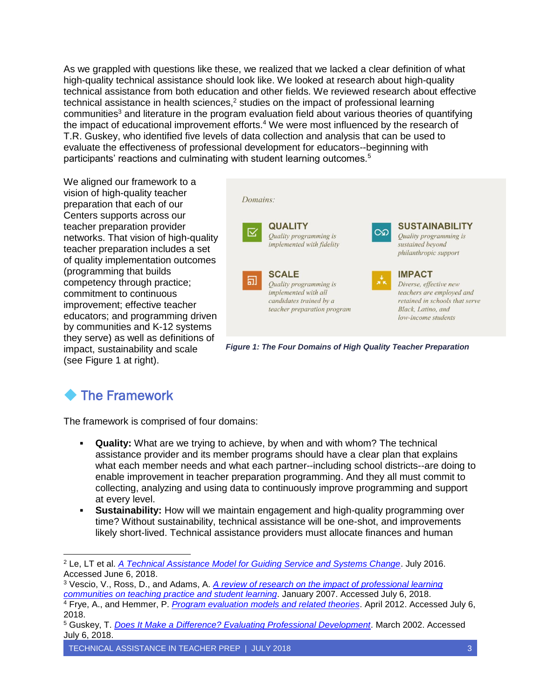As we grappled with questions like these, we realized that we lacked a clear definition of what high-quality technical assistance should look like. We looked at research about high-quality technical assistance from both education and other fields. We reviewed research about effective technical assistance in health sciences, $2$  studies on the impact of professional learning communities<sup>3</sup> and literature in the program evaluation field about various theories of quantifying the impact of educational improvement efforts.<sup>4</sup> We were most influenced by the research of T.R. Guskey, who identified five levels of data collection and analysis that can be used to evaluate the effectiveness of professional development for educators--beginning with participants' reactions and culminating with student learning outcomes.<sup>5</sup>

We aligned our framework to a vision of high-quality teacher preparation that each of our Centers supports across our teacher preparation provider networks. That vision of high-quality teacher preparation includes a set of quality implementation outcomes (programming that builds competency through practice; commitment to continuous improvement; effective teacher educators; and programming driven by communities and K-12 systems they serve) as well as definitions of impact, sustainability and scale (see Figure 1 at right).



*Figure 1: The Four Domains of High Quality Teacher Preparation*

## The Framework

 $\overline{a}$ 

The framework is comprised of four domains:

- **Quality:** What are we trying to achieve, by when and with whom? The technical assistance provider and its member programs should have a clear plan that explains what each member needs and what each partner--including school districts--are doing to enable improvement in teacher preparation programming. And they all must commit to collecting, analyzing and using data to continuously improve programming and support at every level.
- **Sustainability:** How will we maintain engagement and high-quality programming over time? Without sustainability, technical assistance will be one-shot, and improvements likely short-lived. Technical assistance providers must allocate finances and human

<sup>2</sup> Le, LT et al. *[A Technical Assistance Model for Guiding Service and Systems Change](https://www.ncbi.nlm.nih.gov/pubmed/25239308)*. July 2016. Accessed June 6, 2018.

<sup>3</sup> Vescio, V., Ross, D., and Adams, A. *[A review of research on the impact of professional learning](https://pdfs.semanticscholar.org/7005/0f51d928cbedba2056a77a8f2c9b225c6821.pdf)  [communities on teaching practice and student learning](https://pdfs.semanticscholar.org/7005/0f51d928cbedba2056a77a8f2c9b225c6821.pdf)*. January 2007. Accessed July 6, 2018.

<sup>4</sup> Frye, A., and Hemmer, P. *[Program evaluation models and related theories](https://www.tandfonline.com/doi/full/10.3109/0142159X.2012.668637)*. April 2012. Accessed July 6, 2018.

<sup>5</sup> Guskey, T. *[Does It Make a Difference? Evaluating Professional Development](http://www.ascd.org/publications/educational-leadership/mar02/vol59/num06/Does-It-Make-a-Difference%C2%A2-Evaluating-Professional-Development.aspx)*. March 2002. Accessed July 6, 2018.

TECHNICAL ASSISTANCE IN TEACHER PREP | JULY 2018 3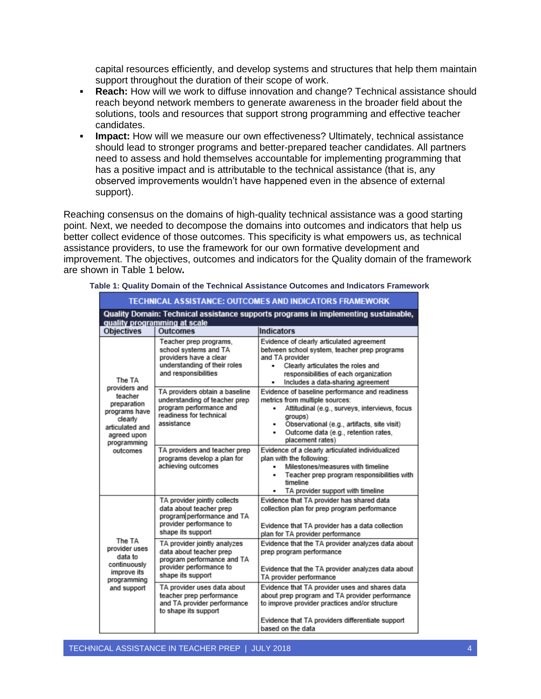capital resources efficiently, and develop systems and structures that help them maintain support throughout the duration of their scope of work.

- **Reach:** How will we work to diffuse innovation and change? Technical assistance should reach beyond network members to generate awareness in the broader field about the solutions, tools and resources that support strong programming and effective teacher candidates.
- **Impact:** How will we measure our own effectiveness? Ultimately, technical assistance should lead to stronger programs and better-prepared teacher candidates. All partners need to assess and hold themselves accountable for implementing programming that has a positive impact and is attributable to the technical assistance (that is, any observed improvements wouldn't have happened even in the absence of external support).

Reaching consensus on the domains of high-quality technical assistance was a good starting point. Next, we needed to decompose the domains into outcomes and indicators that help us better collect evidence of those outcomes. This specificity is what empowers us, as technical assistance providers, to use the framework for our own formative development and improvement. The objectives, outcomes and indicators for the Quality domain of the framework are shown in Table 1 below**.**

| <b>TECHNICAL ASSISTANCE: OUTCOMES AND INDICATORS FRAMEWORK</b>                                                                             |                                                                                                                                       |                                                                                                                                                                                                                                                         |
|--------------------------------------------------------------------------------------------------------------------------------------------|---------------------------------------------------------------------------------------------------------------------------------------|---------------------------------------------------------------------------------------------------------------------------------------------------------------------------------------------------------------------------------------------------------|
| Quality Domain: Technical assistance supports programs in implementing sustainable,<br>quality programming at scale                        |                                                                                                                                       |                                                                                                                                                                                                                                                         |
| <b>Objectives</b>                                                                                                                          | <b>Outcomes</b>                                                                                                                       | Indicators                                                                                                                                                                                                                                              |
| The TA<br>providers and<br>teacher<br>preparation<br>programs have<br>clearly<br>articulated and<br>agreed upon<br>programming<br>outcomes | Teacher prep programs,<br>school systems and TA<br>providers have a clear<br>understanding of their roles<br>and responsibilities     | Evidence of clearly articulated agreement<br>between school system, teacher prep programs<br>and TA provider<br>$\blacksquare$<br>Clearly articulates the roles and<br>responsibilities of each organization<br>Includes a data-sharing agreement<br>٠  |
|                                                                                                                                            | TA providers obtain a baseline<br>understanding of teacher prep<br>program performance and<br>readiness for technical<br>assistance   | Evidence of baseline performance and readiness<br>metrics from multiple sources:<br>Attitudinal (e.g., surveys, interviews, focus<br>groups)<br>Observational (e.g., artifacts, site visit)<br>Outcome data (e.g., retention rates,<br>placement rates) |
|                                                                                                                                            | TA providers and teacher prep<br>programs develop a plan for<br>achieving outcomes                                                    | Evidence of a clearly articulated individualized<br>plan with the following:<br>Milestones/measures with timeline<br>Teacher prep program responsibilities with<br>$\blacksquare$<br>timeline<br>TA provider support with timeline<br>٠                 |
| The TA<br>provider uses<br>data to<br>continuously<br>improve its<br>programming<br>and support                                            | TA provider jointly collects<br>data about teacher prep<br>program performance and TA<br>provider performance to<br>shape its support | Evidence that TA provider has shared data<br>collection plan for prep program performance<br>Evidence that TA provider has a data collection<br>plan for TA provider performance                                                                        |
|                                                                                                                                            | TA provider jointly analyzes<br>data about teacher prep<br>program performance and TA<br>provider performance to<br>shape its support | Evidence that the TA provider analyzes data about<br>prep program performance<br>Evidence that the TA provider analyzes data about<br>TA provider performance                                                                                           |
|                                                                                                                                            | TA provider uses data about<br>teacher prep performance<br>and TA provider performance<br>to shape its support                        | Evidence that TA provider uses and shares data<br>about prep program and TA provider performance<br>to improve provider practices and/or structure<br>Evidence that TA providers differentiate support<br>based on the data                             |

**Table 1: Quality Domain of the Technical Assistance Outcomes and Indicators Framework**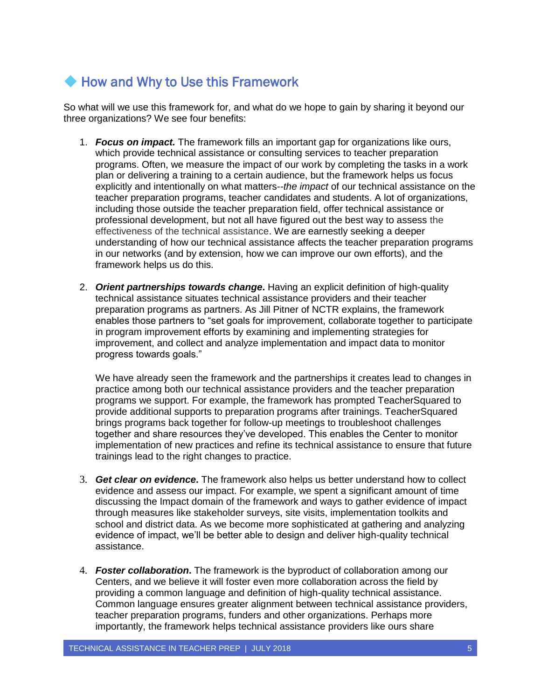#### ◆ How and Why to Use this Framework

So what will we use this framework for, and what do we hope to gain by sharing it beyond our three organizations? We see four benefits:

- 1. *Focus on impact.* The framework fills an important gap for organizations like ours, which provide technical assistance or consulting services to teacher preparation programs. Often, we measure the impact of our work by completing the tasks in a work plan or delivering a training to a certain audience, but the framework helps us focus explicitly and intentionally on what matters--*the impact* of our technical assistance on the teacher preparation programs, teacher candidates and students. A lot of organizations, including those outside the teacher preparation field, offer technical assistance or professional development, but not all have figured out the best way to assess the effectiveness of the technical assistance. We are earnestly seeking a deeper understanding of how our technical assistance affects the teacher preparation programs in our networks (and by extension, how we can improve our own efforts), and the framework helps us do this.
- 2. *Orient partnerships towards change***.** Having an explicit definition of high-quality technical assistance situates technical assistance providers and their teacher preparation programs as partners. As Jill Pitner of NCTR explains, the framework enables those partners to "set goals for improvement, collaborate together to participate in program improvement efforts by examining and implementing strategies for improvement, and collect and analyze implementation and impact data to monitor progress towards goals."

We have already seen the framework and the partnerships it creates lead to changes in practice among both our technical assistance providers and the teacher preparation programs we support. For example, the framework has prompted TeacherSquared to provide additional supports to preparation programs after trainings. TeacherSquared brings programs back together for follow-up meetings to troubleshoot challenges together and share resources they've developed. This enables the Center to monitor implementation of new practices and refine its technical assistance to ensure that future trainings lead to the right changes to practice.

- 3. *Get clear on evidence***.** The framework also helps us better understand how to collect evidence and assess our impact. For example, we spent a significant amount of time discussing the Impact domain of the framework and ways to gather evidence of impact through measures like stakeholder surveys, site visits, implementation toolkits and school and district data. As we become more sophisticated at gathering and analyzing evidence of impact, we'll be better able to design and deliver high-quality technical assistance.
- 4. *Foster collaboration***.** The framework is the byproduct of collaboration among our Centers, and we believe it will foster even more collaboration across the field by providing a common language and definition of high-quality technical assistance. Common language ensures greater alignment between technical assistance providers, teacher preparation programs, funders and other organizations. Perhaps more importantly, the framework helps technical assistance providers like ours share